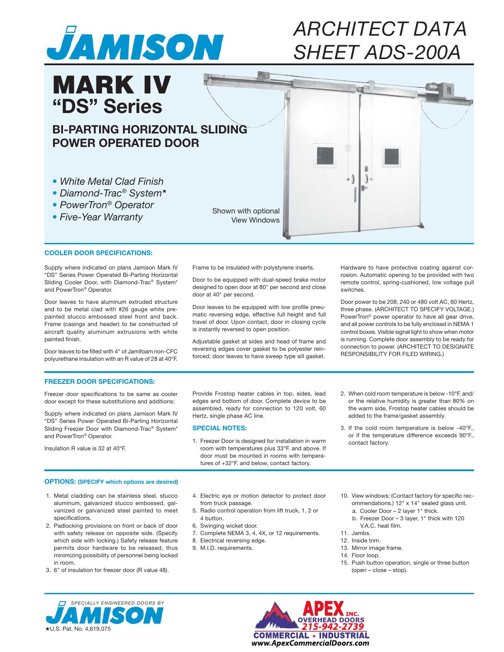

# *ARCHITECTDATA SHEETADS-200A*

## **BI-PARTING HORIZONTAL SLIDING POWER OPERATED DOOR**

*•WhiteMetalCladFinish*

MARK IV

**"DS" Series**

- *•Diamond-Trac®System*★
- *•PowerTron®Operator*
- *•Five-YearWarranty*

Shown with optional View Windows

### **COOLER DOOR SPECIFICATIONS:**

Supply where indicated on plans Jamison Mark IV "DS" Series Power Operated Bi-Parting Horizontal Sliding Cooler Door, with Diamond-Trac® System\* and PowerTron® Operator.

Door leaves to have aluminum extruded structure and to be metal clad with #26 gauge white prepainted stucco embossed steel front and back. Frame (casings and header) to be constructed of aircraft quality aluminum extrusions with white painted finish.

Door leaves to be filled with 4" of Jamifoam non-CFC polyurethane insulation with an R value of 28 at 40°F. Frame to be insulated with polystyrene inserts.

Door to be equipped with dual-speed brake motor designed to open door at 80" per second and close door at 40" per second.

Door leaves to be equipped with low profile pneumatic reversing edge, effective full height and full travel of door. Upon contact, door in closing cycle is instantly reversed to open position.

Adjustable gasket at sides and head of frame and reversing edges cover gasket to be polyester reinforced; door leaves to have sweep type sill gasket.

Hardware to have protective coating against corrosion. Automatic opening to be provided with two remote control, spring-cushioned, low voltage pull switches.

Door power to be 208, 240 or 480 volt AC, 60 Hertz, three phase. (ARCHITECT TO SPECIFY VOLTAGE.) PowerTron® power operator to have all gear drive, and all power controls to be fully enclosed in NEMA 1 control boxes. Visible signal light to show when motor is running. Complete door assembly to be ready for connection to power. (ARCHITECT TO DESIGNATE RESPONSIBILITY FOR FILED WIRING.)

#### **FREEZER DOOR SPECIFICATIONS:**

Freezer door specifications to be same as cooler door except for these substitutions and additions:

Supply where indicated on plans Jamison Mark IV "DS" Series Power Operated Bi-Parting Horizontal Sliding Freezer Door with Diamond-Trac® System\* and PowerTron® Operator.

Insulation R value is 32 at 40°F.

Provide Frostop heater cables in top, sides, lead edges and bottom of door. Complete device to be assembled, ready for connection to 120 volt, 60 Hertz, single phase AC line.

#### **SPECIAL NOTES:**

- 1. Freezer Door is designed for installation in warm room with temperatures plus 33°F. and above. If door must be mounted in rooms with temperatures of +32°F. and below, contact factory.
- 2. When cold room temperature is below -10°F. and/ or the relative humidity is greater than 80% on the warm side, Frostop heater cables should be added to the frame/gasket assembly.
- 3. If the cold room temperature is below -40°F., or if the temperature difference exceeds 90°F., contact factory.

#### **OPTIONS: (SPECIFY which options are desired)**

- 1. Metal cladding can be stainless steel, stucco aluminum, galvanized stucco embossed, galvanized or galvanized steel painted to meet specifications.
- 2. Padlocking provisions on front or back of door with safety release on opposite side. (Specify which side with locking.) Safety release feature permits door hardware to be released, thus minimizing possibility of personnel being locked in room.
- 3. 6" of insulation for freezer door (R value 48).
- 4. Electric eye or motion detector to protect door from truck passage.
- 5. Radio control operation from lift truck, 1, 2 or
- 4 button.
- 6. Swinging wicket door.
- 7. Complete NEMA 3, 4, 4X, or 12 requirements. 8. Electrical reversing edge.
- 9. M.I.D. requirements.
- 10. View windows: (Contact factory for specific recommendations.) 12" x 14" sealed glass unit. a. Cooler Door – 2 layer 1" thick.
	- b. Freezer Door 3 layer, 1" thick with 120 V.A.C. heat film.
- 11. Jambs.
- 12. Inside trim.
- 13. Mirror image frame.
- 14. Floor loop.
- 15. Push button operation, single or three button (open – close – stop).